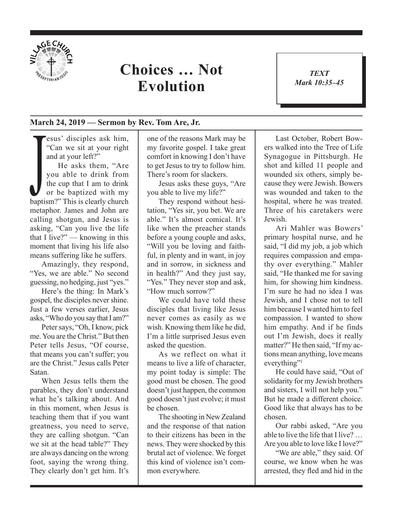

## **Choices … Not Evolution**

*TEXT Mark 10:35–45* 1

## **March 24, 2019 — Sermon by Rev. Tom Are, Jr.**

esus' disciples ask him, "Can we sit at your right and at your left?"

He asks them, "Are<br>you able to drink from<br>the cup that I am to drink<br>or be baptized with my<br>baptism?" This is clearly church He asks them, "Are you able to drink from the cup that I am to drink or be baptized with my metaphor. James and John are calling shotgun, and Jesus is asking, "Can you live the life that I live?" — knowing in this moment that living his life also means suffering like he suffers.

Amazingly, they respond, "Yes, we are able." No second guessing, no hedging, just "yes."

Here's the thing: In Mark's gospel, the disciples never shine. Just a few verses earlier, Jesus asks, "Who do you say that I am?"

Peter says, "Oh, I know, pick me. You are the Christ." But then Peter tells Jesus, "Of course, that means you can't suffer; you are the Christ." Jesus calls Peter Satan.

When Jesus tells them the parables, they don't understand what he's talking about. And in this moment, when Jesus is teaching them that if you want greatness, you need to serve, they are calling shotgun. "Can we sit at the head table?" They are always dancing on the wrong foot, saying the wrong thing. They clearly don't get him. It's

one of the reasons Mark may be my favorite gospel. I take great comfort in knowing I don't have to get Jesus to try to follow him. There's room for slackers.

Jesus asks these guys, "Are you able to live my life?"

They respond without hesitation, "Yes sir, you bet. We are able." It's almost comical. It's like when the preacher stands before a young couple and asks, "Will you be loving and faithful, in plenty and in want, in joy and in sorrow, in sickness and in health?" And they just say, "Yes." They never stop and ask, "How much sorrow?"

We could have told these disciples that living like Jesus never comes as easily as we wish. Knowing them like he did, I'm a little surprised Jesus even asked the question.

As we reflect on what it means to live a life of character, my point today is simple: The good must be chosen. The good doesn't just happen, the common good doesn't just evolve; it must be chosen.

The shooting in New Zealand and the response of that nation to their citizens has been in the news. They were shocked by this brutal act of violence. We forget this kind of violence isn't common everywhere.

Last October, Robert Bowers walked into the Tree of Life Synagogue in Pittsburgh. He shot and killed 11 people and wounded six others, simply because they were Jewish. Bowers was wounded and taken to the hospital, where he was treated. Three of his caretakers were Jewish.

Ari Mahler was Bowers' primary hospital nurse, and he said, "I did my job, a job which requires compassion and empathy over everything." Mahler said, "He thanked me for saving him, for showing him kindness. I'm sure he had no idea I was Jewish, and I chose not to tell him because I wanted him to feel compassion. I wanted to show him empathy. And if he finds out I'm Jewish, does it really matter?" He then said, "If my actions mean anything, love means everything"<sup>1</sup>

He could have said, "Out of solidarity for my Jewish brothers and sisters, I will not help you." But he made a different choice. Good like that always has to be chosen.

Our rabbi asked, "Are you able to live the life that I live? … Are you able to love like I love?"

"We are able," they said. Of course, we know when he was arrested, they fled and hid in the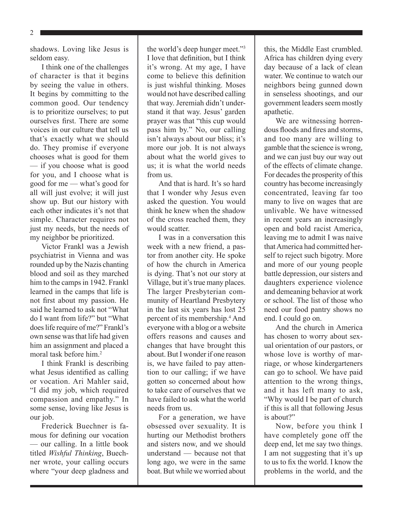2

shadows. Loving like Jesus is seldom easy.

I think one of the challenges of character is that it begins by seeing the value in others. It begins by committing to the common good. Our tendency is to prioritize ourselves; to put ourselves first. There are some voices in our culture that tell us that's exactly what we should do. They promise if everyone chooses what is good for them — if you choose what is good for you, and I choose what is good for me — what's good for all will just evolve; it will just show up. But our history with each other indicates it's not that simple. Character requires not just my needs, but the needs of my neighbor be prioritized.

Victor Frankl was a Jewish psychiatrist in Vienna and was rounded up by the Nazis chanting blood and soil as they marched him to the camps in 1942. Frankl learned in the camps that life is not first about my passion. He said he learned to ask not "What do I want from life?" but "What does life require of me?" Frankl's own sense was that life had given him an assignment and placed a moral task before him<sup>2</sup>

I think Frankl is describing what Jesus identified as calling or vocation. Ari Mahler said, "I did my job, which required compassion and empathy." In some sense, loving like Jesus is our *job*.

Frederick Buechner is famous for defining our vocation — our calling. In a little book titled *Wishful Thinking*, Buechner wrote, your calling occurs where "your deep gladness and the world's deep hunger meet."3 I love that definition, but I think it's wrong. At my age, I have come to believe this definition is just wishful thinking. Moses would not have described calling that way. Jeremiah didn't understand it that way. Jesus' garden prayer was that "this cup would pass him by." No, our calling isn't always about our bliss; it's more our job. It is not always about what the world gives to us; it is what the world needs from us.

And that is hard. It's so hard that I wonder why Jesus even asked the question. You would think he knew when the shadow of the cross reached them, they would scatter.

I was in a conversation this week with a new friend, a pastor from another city. He spoke of how the church in America is dying. That's not our story at Village, but it's true many places. The larger Presbyterian community of Heartland Presbytery in the last six years has lost 25 percent of its membership.4 And everyone with a blog or a website offers reasons and causes and changes that have brought this about. But I wonder if one reason is, we have failed to pay attention to our calling; if we have gotten so concerned about how to take care of ourselves that we have failed to ask what the world needs from us.

For a generation, we have obsessed over sexuality. It is hurting our Methodist brothers and sisters now, and we should understand — because not that long ago, we were in the same boat. But while we worried about this, the Middle East crumbled. Africa has children dying every day because of a lack of clean water. We continue to watch our neighbors being gunned down in senseless shootings, and our government leaders seem mostly apathetic.

We are witnessing horrendous floods and fires and storms, and too many are willing to gamble that the science is wrong, and we can just buy our way out of the effects of climate change. For decades the prosperity of this country has become increasingly concentrated, leaving far too many to live on wages that are unlivable. We have witnessed in recent years an increasingly open and bold racist America, leaving me to admit I was naive that America had committed herself to reject such bigotry. More and more of our young people battle depression, our sisters and daughters experience violence and demeaning behavior at work or school. The list of those who need our food pantry shows no end. I could go on.

And the church in America has chosen to worry about sexual orientation of our pastors, or whose love is worthy of marriage, or whose kindergarteners can go to school. We have paid attention to the wrong things, and it has left many to ask, "Why would I be part of church if this is all that following Jesus is about?"

Now, before you think I have completely gone off the deep end, let me say two things. I am not suggesting that it's up to us to fix the world. I know the problems in the world, and the